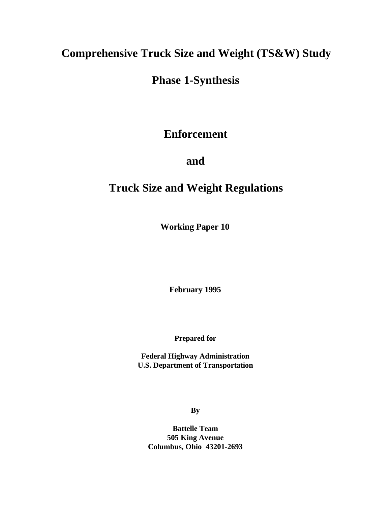## **Comprehensive Truck Size and Weight (TS&W) Study**

# **Phase 1-Synthesis**

## **Enforcement**

## **and**

## **Truck Size and Weight Regulations**

**Working Paper 10**

**February 1995**

**Prepared for**

**Federal Highway Administration U.S. Department of Transportation**

**By**

**Battelle Team 505 King Avenue Columbus, Ohio 43201-2693**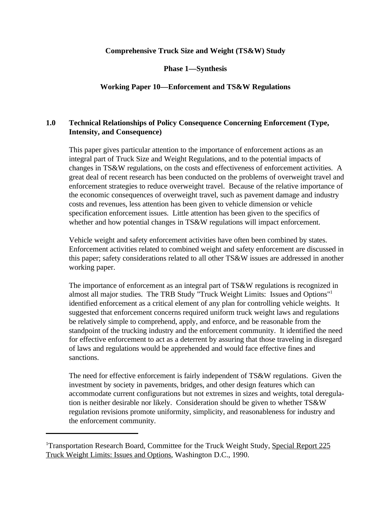### **Comprehensive Truck Size and Weight (TS&W) Study**

**Phase 1—Synthesis**

### **Working Paper 10—Enforcement and TS&W Regulations**

## **1.0 Technical Relationships of Policy Consequence Concerning Enforcement (Type, Intensity, and Consequence)**

This paper gives particular attention to the importance of enforcement actions as an integral part of Truck Size and Weight Regulations, and to the potential impacts of changes in TS&W regulations, on the costs and effectiveness of enforcement activities. A great deal of recent research has been conducted on the problems of overweight travel and enforcement strategies to reduce overweight travel. Because of the relative importance of the economic consequences of overweight travel, such as pavement damage and industry costs and revenues, less attention has been given to vehicle dimension or vehicle specification enforcement issues. Little attention has been given to the specifics of whether and how potential changes in TS&W regulations will impact enforcement.

Vehicle weight and safety enforcement activities have often been combined by states. Enforcement activities related to combined weight and safety enforcement are discussed in this paper; safety considerations related to all other TS&W issues are addressed in another working paper.

The importance of enforcement as an integral part of TS&W regulations is recognized in almost all major studies. The TRB Study "Truck Weight Limits: Issues and Options"<sup>1</sup> identified enforcement as a critical element of any plan for controlling vehicle weights. It suggested that enforcement concerns required uniform truck weight laws and regulations be relatively simple to comprehend, apply, and enforce, and be reasonable from the standpoint of the trucking industry and the enforcement community. It identified the need for effective enforcement to act as a deterrent by assuring that those traveling in disregard of laws and regulations would be apprehended and would face effective fines and sanctions.

The need for effective enforcement is fairly independent of TS&W regulations. Given the investment by society in pavements, bridges, and other design features which can accommodate current configurations but not extremes in sizes and weights, total deregulation is neither desirable nor likely. Consideration should be given to whether TS&W regulation revisions promote uniformity, simplicity, and reasonableness for industry and the enforcement community.

<sup>&</sup>lt;sup>1</sup>Transportation Research Board, Committee for the Truck Weight Study, Special Report 225 Truck Weight Limits: Issues and Options, Washington D.C., 1990.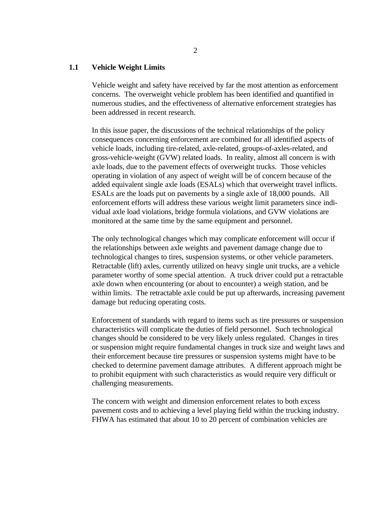#### **1.1 Vehicle Weight Limits**

Vehicle weight and safety have received by far the most attention as enforcement concerns. The overweight vehicle problem has been identified and quantified in numerous studies, and the effectiveness of alternative enforcement strategies has been addressed in recent research.

In this issue paper, the discussions of the technical relationships of the policy consequences concerning enforcement are combined for all identified aspects of vehicle loads, including tire-related, axle-related, groups-of-axles-related, and gross-vehicle-weight (GVW) related loads. In reality, almost all concern is with axle loads, due to the pavement effects of overweight trucks. Those vehicles operating in violation of any aspect of weight will be of concern because of the added equivalent single axle loads (ESALs) which that overweight travel inflicts. ESALs are the loads put on pavements by a single axle of 18,000 pounds. All enforcement efforts will address these various weight limit parameters since individual axle load violations, bridge formula violations, and GVW violations are monitored at the same time by the same equipment and personnel.

The only technological changes which may complicate enforcement will occur if the relationships between axle weights and pavement damage change due to technological changes to tires, suspension systems, or other vehicle parameters. Retractable (lift) axles, currently utilized on heavy single unit trucks, are a vehicle parameter worthy of some special attention. A truck driver could put a retractable axle down when encountering (or about to encounter) a weigh station, and be within limits. The retractable axle could be put up afterwards, increasing pavement damage but reducing operating costs.

Enforcement of standards with regard to items such as tire pressures or suspension characteristics will complicate the duties of field personnel. Such technological changes should be considered to be very likely unless regulated. Changes in tires or suspension might require fundamental changes in truck size and weight laws and their enforcement because tire pressures or suspension systems might have to be checked to determine pavement damage attributes. A different approach might be to prohibit equipment with such characteristics as would require very difficult or challenging measurements.

The concern with weight and dimension enforcement relates to both excess pavement costs and to achieving a level playing field within the trucking industry. FHWA has estimated that about 10 to 20 percent of combination vehicles are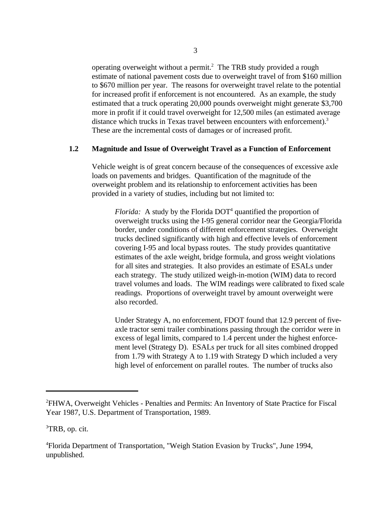operating overweight without a permit.<sup>2</sup> The TRB study provided a rough estimate of national pavement costs due to overweight travel of from \$160 million to \$670 million per year. The reasons for overweight travel relate to the potential for increased profit if enforcement is not encountered. As an example, the study estimated that a truck operating 20,000 pounds overweight might generate \$3,700 more in profit if it could travel overweight for 12,500 miles (an estimated average distance which trucks in Texas travel between encounters with enforcement).<sup>3</sup> These are the incremental costs of damages or of increased profit.

#### **1.2 Magnitude and Issue of Overweight Travel as a Function of Enforcement**

Vehicle weight is of great concern because of the consequences of excessive axle loads on pavements and bridges. Quantification of the magnitude of the overweight problem and its relationship to enforcement activities has been provided in a variety of studies, including but not limited to:

*Florida:* A study by the Florida  $DOT<sup>4</sup>$  quantified the proportion of overweight trucks using the I-95 general corridor near the Georgia/Florida border, under conditions of different enforcement strategies. Overweight trucks declined significantly with high and effective levels of enforcement covering I-95 and local bypass routes. The study provides quantitative estimates of the axle weight, bridge formula, and gross weight violations for all sites and strategies. It also provides an estimate of ESALs under each strategy. The study utilized weigh-in-motion (WIM) data to record travel volumes and loads. The WIM readings were calibrated to fixed scale readings. Proportions of overweight travel by amount overweight were also recorded.

Under Strategy A, no enforcement, FDOT found that 12.9 percent of fiveaxle tractor semi trailer combinations passing through the corridor were in excess of legal limits, compared to 1.4 percent under the highest enforcement level (Strategy D). ESALs per truck for all sites combined dropped from 1.79 with Strategy A to 1.19 with Strategy D which included a very high level of enforcement on parallel routes. The number of trucks also

<sup>&</sup>lt;sup>2</sup>FHWA, Overweight Vehicles - Penalties and Permits: An Inventory of State Practice for Fiscal Year 1987, U.S. Department of Transportation, 1989.

 ${}^{3}$ TRB, op. cit.

Florida Department of Transportation, "Weigh Station Evasion by Trucks", June 1994, <sup>4</sup> unpublished.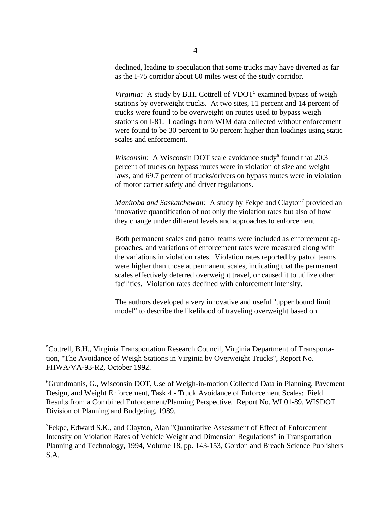declined, leading to speculation that some trucks may have diverted as far as the I-75 corridor about 60 miles west of the study corridor.

*Virginia:* A study by B.H. Cottrell of VDOT<sup>5</sup> examined bypass of weigh stations by overweight trucks. At two sites, 11 percent and 14 percent of trucks were found to be overweight on routes used to bypass weigh stations on I-81. Loadings from WIM data collected without enforcement were found to be 30 percent to 60 percent higher than loadings using static scales and enforcement.

*Wisconsin:* A Wisconsin DOT scale avoidance study<sup>6</sup> found that 20.3 percent of trucks on bypass routes were in violation of size and weight laws, and 69.7 percent of trucks/drivers on bypass routes were in violation of motor carrier safety and driver regulations.

*Manitoba and Saskatchewan:* A study by Fekpe and Clayton<sup>'</sup> provided an innovative quantification of not only the violation rates but also of how they change under different levels and approaches to enforcement.

Both permanent scales and patrol teams were included as enforcement approaches, and variations of enforcement rates were measured along with the variations in violation rates. Violation rates reported by patrol teams were higher than those at permanent scales, indicating that the permanent scales effectively deterred overweight travel, or caused it to utilize other facilities. Violation rates declined with enforcement intensity.

The authors developed a very innovative and useful "upper bound limit model" to describe the likelihood of traveling overweight based on

<sup>&</sup>lt;sup>5</sup>Cottrell, B.H., Virginia Transportation Research Council, Virginia Department of Transportation, "The Avoidance of Weigh Stations in Virginia by Overweight Trucks", Report No. FHWA/VA-93-R2, October 1992.

<sup>&</sup>lt;sup>6</sup>Grundmanis, G., Wisconsin DOT, Use of Weigh-in-motion Collected Data in Planning, Pavement Design, and Weight Enforcement, Task 4 - Truck Avoidance of Enforcement Scales: Field Results from a Combined Enforcement/Planning Perspective. Report No. WI 01-89, WISDOT Division of Planning and Budgeting, 1989.

<sup>&</sup>lt;sup>7</sup>Fekpe, Edward S.K., and Clayton, Alan "Quantitative Assessment of Effect of Enforcement Intensity on Violation Rates of Vehicle Weight and Dimension Regulations" in Transportation Planning and Technology, 1994, Volume 18, pp. 143-153, Gordon and Breach Science Publishers S.A.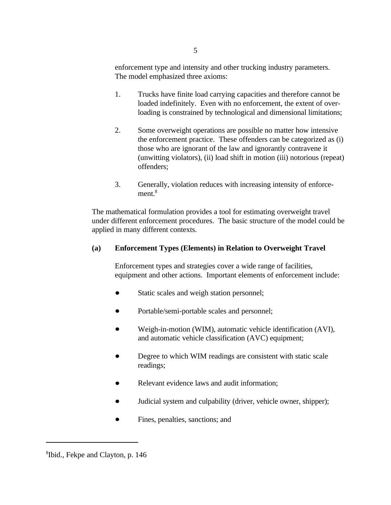enforcement type and intensity and other trucking industry parameters. The model emphasized three axioms:

- 1. Trucks have finite load carrying capacities and therefore cannot be loaded indefinitely. Even with no enforcement, the extent of overloading is constrained by technological and dimensional limitations;
- 2. Some overweight operations are possible no matter how intensive the enforcement practice. These offenders can be categorized as (i) those who are ignorant of the law and ignorantly contravene it (unwitting violators), (ii) load shift in motion (iii) notorious (repeat) offenders;
- 3. Generally, violation reduces with increasing intensity of enforcement.<sup>8</sup>

The mathematical formulation provides a tool for estimating overweight travel under different enforcement procedures. The basic structure of the model could be applied in many different contexts.

## **(a) Enforcement Types (Elements) in Relation to Overweight Travel**

Enforcement types and strategies cover a wide range of facilities, equipment and other actions. Important elements of enforcement include:

- Static scales and weigh station personnel;
- Portable/semi-portable scales and personnel;
- Weigh-in-motion (WIM), automatic vehicle identification (AVI), and automatic vehicle classification (AVC) equipment;
- Degree to which WIM readings are consistent with static scale readings;
- Relevant evidence laws and audit information;  $\bullet$
- Judicial system and culpability (driver, vehicle owner, shipper); b.
- Fines, penalties, sanctions; and

<sup>&</sup>lt;sup>8</sup>Ibid., Fekpe and Clayton, p. 146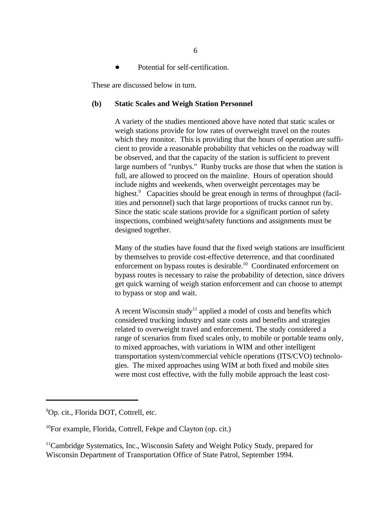Potential for self-certification.

These are discussed below in turn.

#### **(b) Static Scales and Weigh Station Personnel**

A variety of the studies mentioned above have noted that static scales or weigh stations provide for low rates of overweight travel on the routes which they monitor. This is providing that the hours of operation are sufficient to provide a reasonable probability that vehicles on the roadway will be observed, and that the capacity of the station is sufficient to prevent large numbers of "runbys." Runby trucks are those that when the station is full, are allowed to proceed on the mainline. Hours of operation should include nights and weekends, when overweight percentages may be highest.<sup>9</sup> Capacities should be great enough in terms of throughput (facilities and personnel) such that large proportions of trucks cannot run by. Since the static scale stations provide for a significant portion of safety inspections, combined weight/safety functions and assignments must be designed together.

Many of the studies have found that the fixed weigh stations are insufficient by themselves to provide cost-effective deterrence, and that coordinated enforcement on bypass routes is desirable.<sup>10</sup> Coordinated enforcement on bypass routes is necessary to raise the probability of detection, since drivers get quick warning of weigh station enforcement and can choose to attempt to bypass or stop and wait.

A recent Wisconsin study<sup>11</sup> applied a model of costs and benefits which considered trucking industry and state costs and benefits and strategies related to overweight travel and enforcement. The study considered a range of scenarios from fixed scales only, to mobile or portable teams only, to mixed approaches, with variations in WIM and other intelligent transportation system/commercial vehicle operations (ITS/CVO) technologies. The mixed approaches using WIM at both fixed and mobile sites were most cost effective, with the fully mobile approach the least cost-

<sup>&</sup>lt;sup>9</sup>Op. cit., Florida DOT, Cottrell, etc.

 ${}^{10}$ For example, Florida, Cottrell, Fekpe and Clayton (op. cit.)

 $11$ Cambridge Systematics, Inc., Wisconsin Safety and Weight Policy Study, prepared for Wisconsin Department of Transportation Office of State Patrol, September 1994.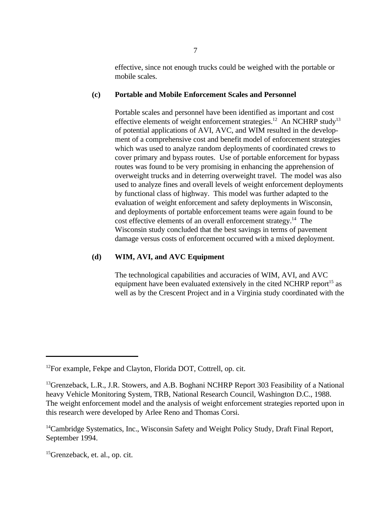effective, since not enough trucks could be weighed with the portable or mobile scales.

#### **(c) Portable and Mobile Enforcement Scales and Personnel**

Portable scales and personnel have been identified as important and cost effective elements of weight enforcement strategies.<sup>12</sup> An NCHRP study<sup>13</sup> of potential applications of AVI, AVC, and WIM resulted in the development of a comprehensive cost and benefit model of enforcement strategies which was used to analyze random deployments of coordinated crews to cover primary and bypass routes. Use of portable enforcement for bypass routes was found to be very promising in enhancing the apprehension of overweight trucks and in deterring overweight travel. The model was also used to analyze fines and overall levels of weight enforcement deployments by functional class of highway. This model was further adapted to the evaluation of weight enforcement and safety deployments in Wisconsin, and deployments of portable enforcement teams were again found to be cost effective elements of an overall enforcement strategy.<sup>14</sup> The Wisconsin study concluded that the best savings in terms of pavement damage versus costs of enforcement occurred with a mixed deployment.

#### **(d) WIM, AVI, and AVC Equipment**

The technological capabilities and accuracies of WIM, AVI, and AVC equipment have been evaluated extensively in the cited NCHRP report<sup>15</sup> as well as by the Crescent Project and in a Virginia study coordinated with the

 $12$ For example, Fekpe and Clayton, Florida DOT, Cottrell, op. cit.

 $^{13}$ Grenzeback, L.R., J.R. Stowers, and A.B. Boghani NCHRP Report 303 Feasibility of a National heavy Vehicle Monitoring System, TRB, National Research Council, Washington D.C., 1988. The weight enforcement model and the analysis of weight enforcement strategies reported upon in this research were developed by Arlee Reno and Thomas Corsi.

 $14$ Cambridge Systematics, Inc., Wisconsin Safety and Weight Policy Study, Draft Final Report, September 1994.

 ${}^{15}$ Grenzeback, et. al., op. cit.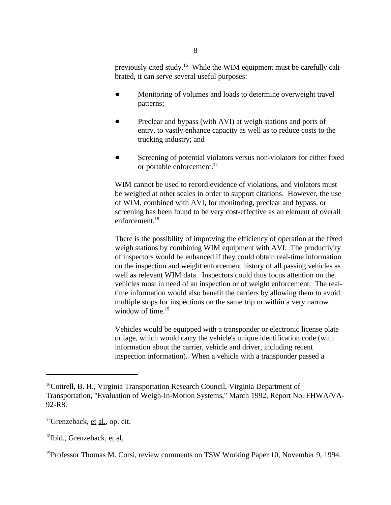previously cited study.<sup>16</sup> While the WIM equipment must be carefully calibrated, it can serve several useful purposes:

- Monitoring of volumes and loads to determine overweight travel  $\bullet$ patterns;
- Preclear and bypass (with AVI) at weigh stations and ports of  $\bullet$ entry, to vastly enhance capacity as well as to reduce costs to the trucking industry; and
- Screening of potential violators versus non-violators for either fixed or portable enforcement.<sup>17</sup>

WIM cannot be used to record evidence of violations, and violators must be weighed at other scales in order to support citations. However, the use of WIM, combined with AVI, for monitoring, preclear and bypass, or screening has been found to be very cost-effective as an element of overall enforcement.<sup>18</sup>

There is the possibility of improving the efficiency of operation at the fixed weigh stations by combining WIM equipment with AVI. The productivity of inspectors would be enhanced if they could obtain real-time information on the inspection and weight enforcement history of all passing vehicles as well as relevant WIM data. Inspectors could thus focus attention on the vehicles most in need of an inspection or of weight enforcement. The realtime information would also benefit the carriers by allowing them to avoid multiple stops for inspections on the same trip or within a very narrow window of time.<sup>19</sup>

Vehicles would be equipped with a transponder or electronic license plate or tage, which would carry the vehicle's unique identification code (with information about the carrier, vehicle and driver, including recent inspection information). When a vehicle with a transponder passed a

 $^{17}$ Grenzeback, et al., op. cit.

 $18$ Ibid., Grenzeback, et al.

 $16$ Cottrell, B. H., Virginia Transportation Research Council, Virginia Department of Transportation, "Evaluation of Weigh-In-Motion Systems," March 1992, Report No. FHWA/VA-92-R8.

<sup>&</sup>lt;sup>19</sup> Professor Thomas M. Corsi, review comments on TSW Working Paper 10, November 9, 1994.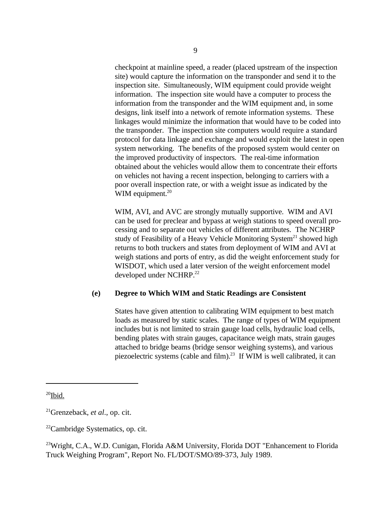checkpoint at mainline speed, a reader (placed upstream of the inspection site) would capture the information on the transponder and send it to the inspection site. Simultaneously, WIM equipment could provide weight information. The inspection site would have a computer to process the information from the transponder and the WIM equipment and, in some designs, link itself into a network of remote information systems. These linkages would minimize the information that would have to be coded into the transponder. The inspection site computers would require a standard protocol for data linkage and exchange and would exploit the latest in open system networking. The benefits of the proposed system would center on the improved productivity of inspectors. The real-time information obtained about the vehicles would allow them to concentrate their efforts on vehicles not having a recent inspection, belonging to carriers with a poor overall inspection rate, or with a weight issue as indicated by the WIM equipment.<sup>20</sup>

WIM, AVI, and AVC are strongly mutually supportive. WIM and AVI can be used for preclear and bypass at weigh stations to speed overall processing and to separate out vehicles of different attributes. The NCHRP study of Feasibility of a Heavy Vehicle Monitoring System<sup>21</sup> showed high returns to both truckers and states from deployment of WIM and AVI at weigh stations and ports of entry, as did the weight enforcement study for WISDOT, which used a later version of the weight enforcement model developed under NCHRP.<sup>22</sup>

#### **(e) Degree to Which WIM and Static Readings are Consistent**

States have given attention to calibrating WIM equipment to best match loads as measured by static scales. The range of types of WIM equipment includes but is not limited to strain gauge load cells, hydraulic load cells, bending plates with strain gauges, capacitance weigh mats, strain gauges attached to bridge beams (bridge sensor weighing systems), and various piezoelectric systems (cable and film). $^{23}$  If WIM is well calibrated, it can

 $^{20}$ Ibid.

 $^{21}$ Grenzeback, *et al.*, op. cit.

 $^{22}$ Cambridge Systematics, op. cit.

<sup>&</sup>lt;sup>23</sup>Wright, C.A., W.D. Cunigan, Florida A&M University, Florida DOT "Enhancement to Florida Truck Weighing Program", Report No. FL/DOT/SMO/89-373, July 1989.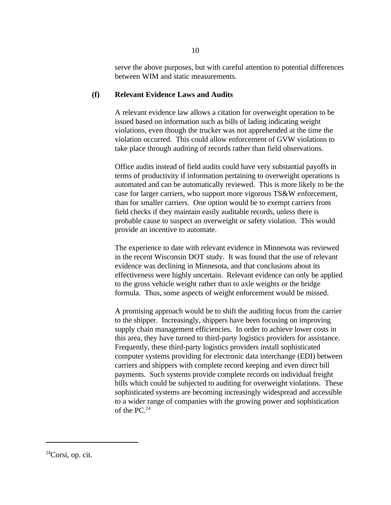serve the above purposes, but with careful attention to potential differences between WIM and static measurements.

#### **(f) Relevant Evidence Laws and Audits**

A relevant evidence law allows a citation for overweight operation to be issued based on information such as bills of lading indicating weight violations, even though the trucker was not apprehended at the time the violation occurred. This could allow enforcement of GVW violations to take place through auditing of records rather than field observations.

Office audits instead of field audits could have very substantial payoffs in terms of productivity if information pertaining to overweight operations is automated and can be automatically reviewed. This is more likely to be the case for larger carriers, who support more vigorous TS&W enforcement, than for smaller carriers. One option would be to exempt carriers from field checks if they maintain easily auditable records, unless there is probable cause to suspect an overweight or safety violation. This would provide an incentive to automate.

The experience to date with relevant evidence in Minnesota was reviewed in the recent Wisconsin DOT study. It was found that the use of relevant evidence was declining in Minnesota, and that conclusions about its effectiveness were highly uncertain. Relevant evidence can only be applied to the gross vehicle weight rather than to axle weights or the bridge formula. Thus, some aspects of weight enforcement would be missed.

A promising approach would be to shift the auditing focus from the carrier to the shipper. Increasingly, shippers have been focusing on improving supply chain management efficiencies. In order to achieve lower costs in this area, they have turned to third-party logistics providers for assistance. Frequently, these third-party logistics providers install sophisticated computer systems providing for electronic data interchange (EDI) between carriers and shippers with complete record keeping and even direct bill payments. Such systems provide complete records on individual freight bills which could be subjected to auditing for overweight violations. These sophisticated systems are becoming increasingly widespread and accessible to a wider range of companies with the growing power and sophistication of the PC.24

 $^{24}$ Corsi, op. cit.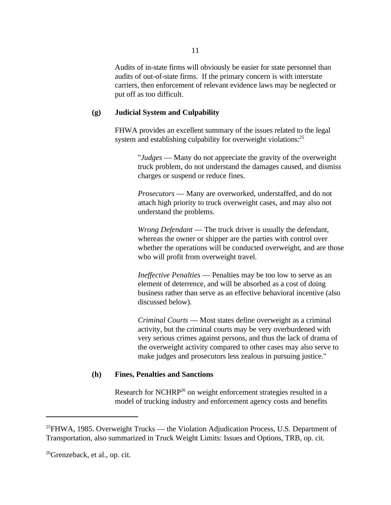Audits of in-state firms will obviously be easier for state personnel than audits of out-of-state firms. If the primary concern is with interstate carriers, then enforcement of relevant evidence laws may be neglected or put off as too difficult.

#### **(g) Judicial System and Culpability**

FHWA provides an excellent summary of the issues related to the legal system and establishing culpability for overweight violations:<sup>25</sup>

> "*Judges* — Many do not appreciate the gravity of the overweight truck problem, do not understand the damages caused, and dismiss charges or suspend or reduce fines.

*Prosecutors* — Many are overworked, understaffed, and do not attach high priority to truck overweight cases, and may also not understand the problems.

*Wrong Defendant* — The truck driver is usually the defendant, whereas the owner or shipper are the parties with control over whether the operations will be conducted overweight, and are those who will profit from overweight travel.

*Ineffective Penalties* — Penalties may be too low to serve as an element of deterrence, and will be absorbed as a cost of doing business rather than serve as an effective behavioral incentive (also discussed below).

*Criminal Courts* — Most states define overweight as a criminal activity, but the criminal courts may be very overburdened with very serious crimes against persons, and thus the lack of drama of the overweight activity compared to other cases may also serve to make judges and prosecutors less zealous in pursuing justice."

#### **(h) Fines, Penalties and Sanctions**

Research for NCHRP<sup>26</sup> on weight enforcement strategies resulted in a model of trucking industry and enforcement agency costs and benefits

 $^{25}$ FHWA, 1985. Overweight Trucks — the Violation Adjudication Process, U.S. Department of Transportation, also summarized in Truck Weight Limits: Issues and Options, TRB, op. cit.

 $^{26}$ Grenzeback, et al., op. cit.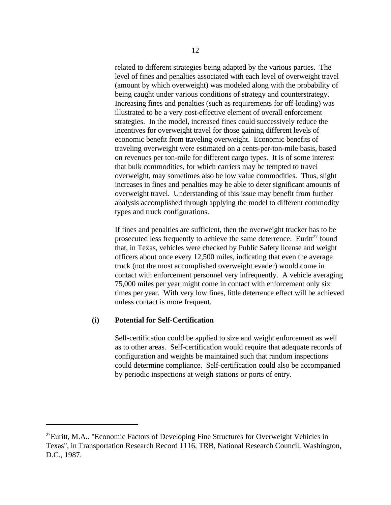related to different strategies being adapted by the various parties. The level of fines and penalties associated with each level of overweight travel (amount by which overweight) was modeled along with the probability of being caught under various conditions of strategy and counterstrategy. Increasing fines and penalties (such as requirements for off-loading) was illustrated to be a very cost-effective element of overall enforcement strategies. In the model, increased fines could successively reduce the incentives for overweight travel for those gaining different levels of economic benefit from traveling overweight. Economic benefits of traveling overweight were estimated on a cents-per-ton-mile basis, based on revenues per ton-mile for different cargo types. It is of some interest that bulk commodities, for which carriers may be tempted to travel overweight, may sometimes also be low value commodities. Thus, slight increases in fines and penalties may be able to deter significant amounts of overweight travel. Understanding of this issue may benefit from further analysis accomplished through applying the model to different commodity types and truck configurations.

If fines and penalties are sufficient, then the overweight trucker has to be prosecuted less frequently to achieve the same deterrence. Euritt<sup>27</sup> found that, in Texas, vehicles were checked by Public Safety license and weight officers about once every 12,500 miles, indicating that even the average truck (not the most accomplished overweight evader) would come in contact with enforcement personnel very infrequently. A vehicle averaging 75,000 miles per year might come in contact with enforcement only six times per year. With very low fines, little deterrence effect will be achieved unless contact is more frequent.

#### **(i) Potential for Self-Certification**

Self-certification could be applied to size and weight enforcement as well as to other areas. Self-certification would require that adequate records of configuration and weights be maintained such that random inspections could determine compliance. Self-certification could also be accompanied by periodic inspections at weigh stations or ports of entry.

 $^{27}$ Euritt, M.A.. "Economic Factors of Developing Fine Structures for Overweight Vehicles in Texas", in Transportation Research Record 1116, TRB, National Research Council, Washington, D.C., 1987.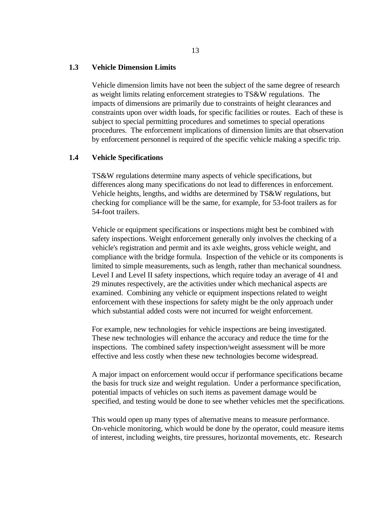#### **1.3 Vehicle Dimension Limits**

Vehicle dimension limits have not been the subject of the same degree of research as weight limits relating enforcement strategies to TS&W regulations. The impacts of dimensions are primarily due to constraints of height clearances and constraints upon over width loads, for specific facilities or routes. Each of these is subject to special permitting procedures and sometimes to special operations procedures. The enforcement implications of dimension limits are that observation by enforcement personnel is required of the specific vehicle making a specific trip.

#### **1.4 Vehicle Specifications**

TS&W regulations determine many aspects of vehicle specifications, but differences along many specifications do not lead to differences in enforcement. Vehicle heights, lengths, and widths are determined by TS&W regulations, but checking for compliance will be the same, for example, for 53-foot trailers as for 54-foot trailers.

Vehicle or equipment specifications or inspections might best be combined with safety inspections. Weight enforcement generally only involves the checking of a vehicle's registration and permit and its axle weights, gross vehicle weight, and compliance with the bridge formula. Inspection of the vehicle or its components is limited to simple measurements, such as length, rather than mechanical soundness. Level I and Level II safety inspections, which require today an average of 41 and 29 minutes respectively, are the activities under which mechanical aspects are examined. Combining any vehicle or equipment inspections related to weight enforcement with these inspections for safety might be the only approach under which substantial added costs were not incurred for weight enforcement.

For example, new technologies for vehicle inspections are being investigated. These new technologies will enhance the accuracy and reduce the time for the inspections. The combined safety inspection/weight assessment will be more effective and less costly when these new technologies become widespread.

A major impact on enforcement would occur if performance specifications became the basis for truck size and weight regulation. Under a performance specification, potential impacts of vehicles on such items as pavement damage would be specified, and testing would be done to see whether vehicles met the specifications.

This would open up many types of alternative means to measure performance. On-vehicle monitoring, which would be done by the operator, could measure items of interest, including weights, tire pressures, horizontal movements, etc. Research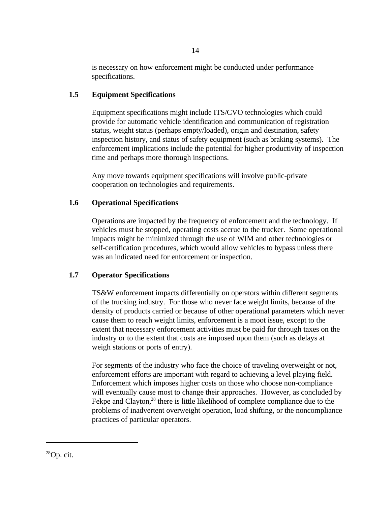is necessary on how enforcement might be conducted under performance specifications.

## **1.5 Equipment Specifications**

Equipment specifications might include ITS/CVO technologies which could provide for automatic vehicle identification and communication of registration status, weight status (perhaps empty/loaded), origin and destination, safety inspection history, and status of safety equipment (such as braking systems). The enforcement implications include the potential for higher productivity of inspection time and perhaps more thorough inspections.

Any move towards equipment specifications will involve public-private cooperation on technologies and requirements.

## **1.6 Operational Specifications**

Operations are impacted by the frequency of enforcement and the technology. If vehicles must be stopped, operating costs accrue to the trucker. Some operational impacts might be minimized through the use of WIM and other technologies or self-certification procedures, which would allow vehicles to bypass unless there was an indicated need for enforcement or inspection.

## **1.7 Operator Specifications**

TS&W enforcement impacts differentially on operators within different segments of the trucking industry. For those who never face weight limits, because of the density of products carried or because of other operational parameters which never cause them to reach weight limits, enforcement is a moot issue, except to the extent that necessary enforcement activities must be paid for through taxes on the industry or to the extent that costs are imposed upon them (such as delays at weigh stations or ports of entry).

For segments of the industry who face the choice of traveling overweight or not, enforcement efforts are important with regard to achieving a level playing field. Enforcement which imposes higher costs on those who choose non-compliance will eventually cause most to change their approaches. However, as concluded by Fekpe and Clayton, $^{28}$  there is little likelihood of complete compliance due to the problems of inadvertent overweight operation, load shifting, or the noncompliance practices of particular operators.

 $^{28}$ Op. cit.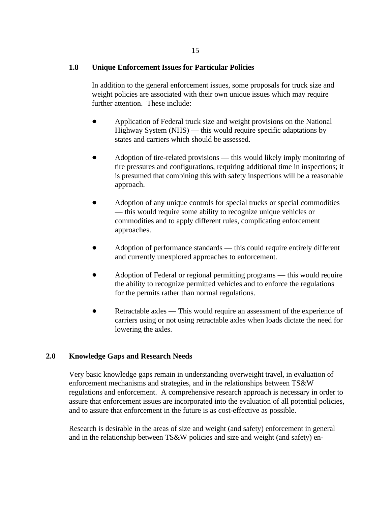#### **1.8 Unique Enforcement Issues for Particular Policies**

In addition to the general enforcement issues, some proposals for truck size and weight policies are associated with their own unique issues which may require further attention. These include:

- Application of Federal truck size and weight provisions on the National Highway System (NHS) — this would require specific adaptations by states and carriers which should be assessed.
- Adoption of tire-related provisions this would likely imply monitoring of tire pressures and configurations, requiring additional time in inspections; it is presumed that combining this with safety inspections will be a reasonable approach.
- Adoption of any unique controls for special trucks or special commodities — this would require some ability to recognize unique vehicles or commodities and to apply different rules, complicating enforcement approaches.
- Adoption of performance standards this could require entirely different and currently unexplored approaches to enforcement.
- Adoption of Federal or regional permitting programs this would require the ability to recognize permitted vehicles and to enforce the regulations for the permits rather than normal regulations.
- Retractable axles This would require an assessment of the experience of carriers using or not using retractable axles when loads dictate the need for lowering the axles.

#### **2.0 Knowledge Gaps and Research Needs**

Very basic knowledge gaps remain in understanding overweight travel, in evaluation of enforcement mechanisms and strategies, and in the relationships between TS&W regulations and enforcement. A comprehensive research approach is necessary in order to assure that enforcement issues are incorporated into the evaluation of all potential policies, and to assure that enforcement in the future is as cost-effective as possible.

Research is desirable in the areas of size and weight (and safety) enforcement in general and in the relationship between TS&W policies and size and weight (and safety) en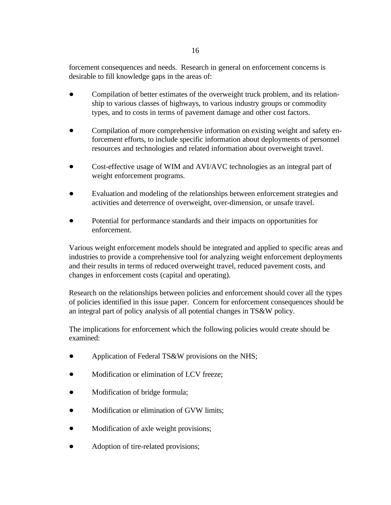forcement consequences and needs. Research in general on enforcement concerns is desirable to fill knowledge gaps in the areas of:

- Compilation of better estimates of the overweight truck problem, and its relationship to various classes of highways, to various industry groups or commodity types, and to costs in terms of pavement damage and other cost factors.
- Compilation of more comprehensive information on existing weight and safety enforcement efforts, to include specific information about deployments of personnel resources and technologies and related information about overweight travel.
- Cost-effective usage of WIM and AVI/AVC technologies as an integral part of  $\bullet$ weight enforcement programs.
- Evaluation and modeling of the relationships between enforcement strategies and activities and deterrence of overweight, over-dimension, or unsafe travel.
- Potential for performance standards and their impacts on opportunities for enforcement.

Various weight enforcement models should be integrated and applied to specific areas and industries to provide a comprehensive tool for analyzing weight enforcement deployments and their results in terms of reduced overweight travel, reduced pavement costs, and changes in enforcement costs (capital and operating).

Research on the relationships between policies and enforcement should cover all the types of policies identified in this issue paper. Concern for enforcement consequences should be an integral part of policy analysis of all potential changes in TS&W policy.

The implications for enforcement which the following policies would create should be examined:

- Application of Federal TS&W provisions on the NHS;  $\bullet$
- Modification or elimination of LCV freeze;
- Modification of bridge formula;
- Modification or elimination of GVW limits;
- Modification of axle weight provisions;
- Adoption of tire-related provisions;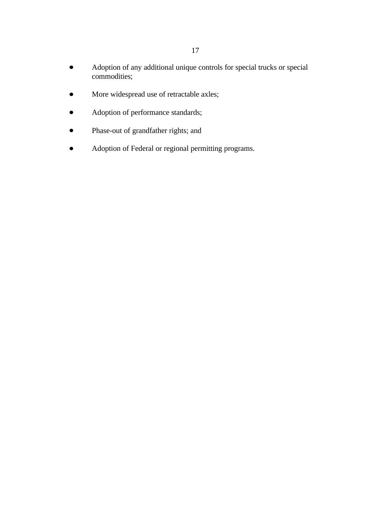- Adoption of any additional unique controls for special trucks or special  $\bullet$ commodities;
- More widespread use of retractable axles;  $\bullet$
- Adoption of performance standards;  $\bullet$
- Phase-out of grandfather rights; and  $\bullet$
- Adoption of Federal or regional permitting programs. $\bullet$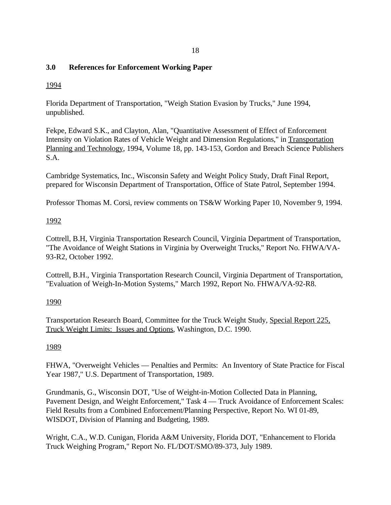## **3.0 References for Enforcement Working Paper**

## 1994

Florida Department of Transportation, "Weigh Station Evasion by Trucks," June 1994, unpublished.

Fekpe, Edward S.K., and Clayton, Alan, "Quantitative Assessment of Effect of Enforcement Intensity on Violation Rates of Vehicle Weight and Dimension Regulations," in Transportation Planning and Technology, 1994, Volume 18, pp. 143-153, Gordon and Breach Science Publishers S.A.

Cambridge Systematics, Inc., Wisconsin Safety and Weight Policy Study, Draft Final Report, prepared for Wisconsin Department of Transportation, Office of State Patrol, September 1994.

Professor Thomas M. Corsi, review comments on TS&W Working Paper 10, November 9, 1994.

## 1992

Cottrell, B.H, Virginia Transportation Research Council, Virginia Department of Transportation, "The Avoidance of Weight Stations in Virginia by Overweight Trucks," Report No. FHWA/VA-93-R2, October 1992.

Cottrell, B.H., Virginia Transportation Research Council, Virginia Department of Transportation, "Evaluation of Weigh-In-Motion Systems," March 1992, Report No. FHWA/VA-92-R8.

## 1990

Transportation Research Board, Committee for the Truck Weight Study, Special Report 225, Truck Weight Limits: Issues and Options, Washington, D.C. 1990.

## 1989

FHWA, "Overweight Vehicles — Penalties and Permits: An Inventory of State Practice for Fiscal Year 1987," U.S. Department of Transportation, 1989.

Grundmanis, G., Wisconsin DOT, "Use of Weight-in-Motion Collected Data in Planning, Pavement Design, and Weight Enforcement," Task 4 — Truck Avoidance of Enforcement Scales: Field Results from a Combined Enforcement/Planning Perspective, Report No. WI 01-89, WISDOT, Division of Planning and Budgeting, 1989.

Wright, C.A., W.D. Cunigan, Florida A&M University, Florida DOT, "Enhancement to Florida Truck Weighing Program," Report No. FL/DOT/SMO/89-373, July 1989.